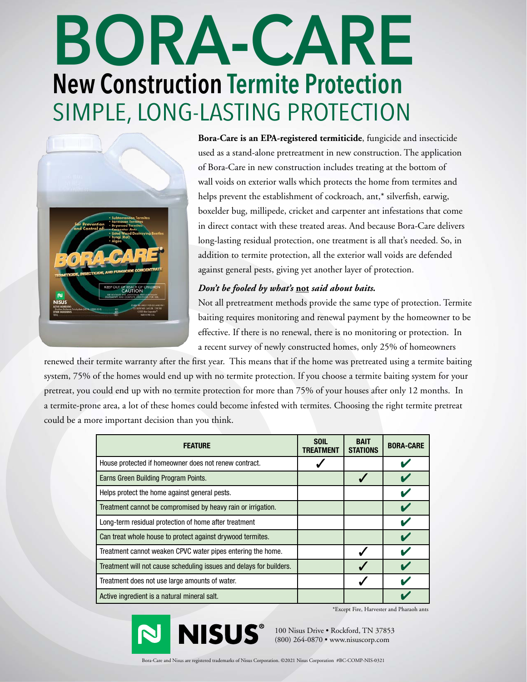## **BORA-CARE New Construction Termite Protection** SIMPLE, LONG-LASTING PROTECTION



**Bora-Care is an EPA-registered termiticide**, fungicide and insecticide used as a stand-alone pretreatment in new construction. The application of Bora-Care in new construction includes treating at the bottom of wall voids on exterior walls which protects the home from termites and helps prevent the establishment of cockroach, ant,\* silverfish, earwig, boxelder bug, millipede, cricket and carpenter ant infestations that come in direct contact with these treated areas. And because Bora-Care delivers long-lasting residual protection, one treatment is all that's needed. So, in addition to termite protection, all the exterior wall voids are defended against general pests, giving yet another layer of protection.

## *Don't be fooled by what's* **not** *said about baits.*

Not all pretreatment methods provide the same type of protection. Termite baiting requires monitoring and renewal payment by the homeowner to be effective. If there is no renewal, there is no monitoring or protection. In a recent survey of newly constructed homes, only 25% of homeowners

renewed their termite warranty after the first year. This means that if the home was pretreated using a termite baiting system, 75% of the homes would end up with no termite protection. If you choose a termite baiting system for your pretreat, you could end up with no termite protection for more than 75% of your houses after only 12 months. In a termite-prone area, a lot of these homes could become infested with termites. Choosing the right termite pretreat could be a more important decision than you think.

| <b>FEATURE</b>                                                      | <b>SOIL</b><br>TREATMENT | <b>BAIT</b><br><b>STATIONS</b> | <b>BORA-CARE</b> |
|---------------------------------------------------------------------|--------------------------|--------------------------------|------------------|
| House protected if homeowner does not renew contract.               |                          |                                |                  |
| Earns Green Building Program Points.                                |                          |                                |                  |
| Helps protect the home against general pests.                       |                          |                                |                  |
| Treatment cannot be compromised by heavy rain or irrigation.        |                          |                                |                  |
| Long-term residual protection of home after treatment               |                          |                                |                  |
| Can treat whole house to protect against drywood termites.          |                          |                                |                  |
| Treatment cannot weaken CPVC water pipes entering the home.         |                          |                                |                  |
| Treatment will not cause scheduling issues and delays for builders. |                          |                                |                  |
| Treatment does not use large amounts of water.                      |                          |                                |                  |
| Active ingredient is a natural mineral salt.                        |                          |                                |                  |

\*Except Fire, Harvester and Pharaoh ants